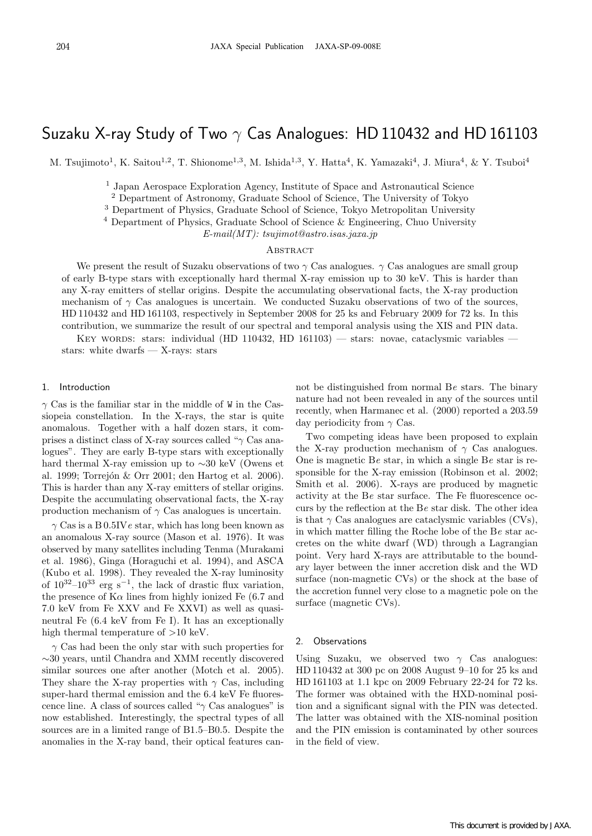# Suzaku X-ray Study of Two *γ* Cas Analogues: HD 110432 and HD 161103

M. Tsujimoto<sup>1</sup>, K. Saitou<sup>1,2</sup>, T. Shionome<sup>1,3</sup>, M. Ishida<sup>1,3</sup>, Y. Hatta<sup>4</sup>, K. Yamazaki<sup>4</sup>, J. Miura<sup>4</sup>, & Y. Tsuboi<sup>4</sup>

<sup>1</sup> Japan Aerospace Exploration Agency, Institute of Space and Astronautical Science

<sup>2</sup> Department of Astronomy, Graduate School of Science, The University of Tokyo

<sup>3</sup> Department of Physics, Graduate School of Science, Tokyo Metropolitan University

<sup>4</sup> Department of Physics, Graduate School of Science & Engineering, Chuo University

*E-mail(MT): tsujimot@astro.isas.jaxa.jp*

#### **ABSTRACT**

We present the result of Suzaku observations of two  $\gamma$  Cas analogues.  $\gamma$  Cas analogues are small group of early B-type stars with exceptionally hard thermal X-ray emission up to 30 keV. This is harder than any X-ray emitters of stellar origins. Despite the accumulating observational facts, the X-ray production mechanism of  $\gamma$  Cas analogues is uncertain. We conducted Suzaku observations of two of the sources, HD 110432 and HD 161103, respectively in September 2008 for 25 ks and February 2009 for 72 ks. In this contribution, we summarize the result of our spectral and temporal analysis using the XIS and PIN data.

KEY WORDS: stars: individual (HD 110432, HD 161103) — stars: novae, cataclysmic variables stars: white dwarfs — X-rays: stars

#### 1. Introduction

*γ* Cas is the familiar star in the middle of W in the Cassiopeia constellation. In the X-rays, the star is quite anomalous. Together with a half dozen stars, it comprises a distinct class of X-ray sources called "*γ* Cas analogues". They are early B-type stars with exceptionally hard thermal X-ray emission up to *∼*30 keV (Owens et al. 1999; Torrejón & Orr 2001; den Hartog et al. 2006). This is harder than any X-ray emitters of stellar origins. Despite the accumulating observational facts, the X-ray production mechanism of *γ* Cas analogues is uncertain.

*γ* Cas is a B 0.5IV*e* star, which has long been known as an anomalous X-ray source (Mason et al. 1976). It was observed by many satellites including Tenma (Murakami et al. 1986), Ginga (Horaguchi et al. 1994), and ASCA (Kubo et al. 1998). They revealed the X-ray luminosity of 10<sup>32</sup>–10<sup>33</sup> erg s*−*<sup>1</sup>, the lack of drastic flux variation, the presence of  $K\alpha$  lines from highly ionized Fe (6.7 and 7.0 keV from Fe XXV and Fe XXVI) as well as quasineutral Fe (6.4 keV from Fe I). It has an exceptionally high thermal temperature of *>*10 keV.

*γ* Cas had been the only star with such properties for *∼*30 years, until Chandra and XMM recently discovered similar sources one after another (Motch et al. 2005). They share the X-ray properties with  $\gamma$  Cas, including super-hard thermal emission and the 6.4 keV Fe fluorescence line. A class of sources called "*γ* Cas analogues" is now established. Interestingly, the spectral types of all sources are in a limited range of B1.5–B0.5. Despite the anomalies in the X-ray band, their optical features cannot be distinguished from normal B*e* stars. The binary nature had not been revealed in any of the sources until recently, when Harmanec et al. (2000) reported a 203.59 day periodicity from *γ* Cas.

Two competing ideas have been proposed to explain the X-ray production mechanism of  $\gamma$  Cas analogues. One is magnetic B*e* star, in which a single B*e* star is responsible for the X-ray emission (Robinson et al. 2002; Smith et al. 2006). X-rays are produced by magnetic activity at the B*e* star surface. The Fe fluorescence occurs by the reflection at the B*e* star disk. The other idea is that  $\gamma$  Cas analogues are cataclysmic variables (CVs), in which matter filling the Roche lobe of the B*e* star accretes on the white dwarf (WD) through a Lagrangian point. Very hard X-rays are attributable to the boundary layer between the inner accretion disk and the WD surface (non-magnetic CVs) or the shock at the base of the accretion funnel very close to a magnetic pole on the surface (magnetic CVs).

### 2. Observations

Using Suzaku, we observed two *γ* Cas analogues: HD 110432 at 300 pc on 2008 August 9–10 for 25 ks and HD 161103 at 1.1 kpc on 2009 February 22-24 for 72 ks. The former was obtained with the HXD-nominal position and a significant signal with the PIN was detected. The latter was obtained with the XIS-nominal position and the PIN emission is contaminated by other sources in the field of view.